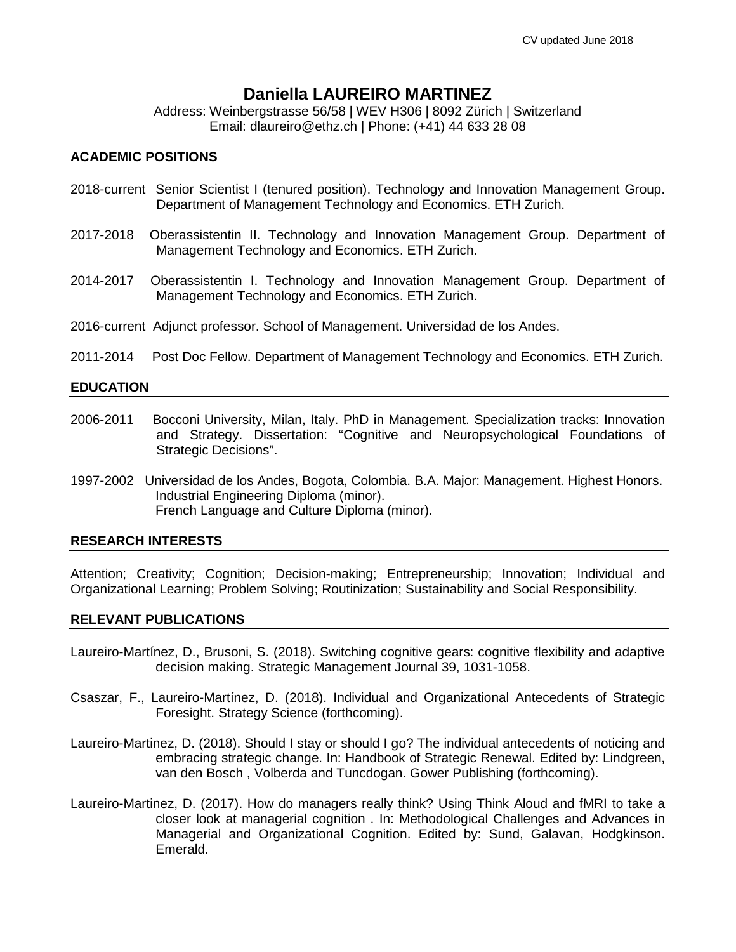# **Daniella LAUREIRO MARTINEZ**

Address: Weinbergstrasse 56/58 | WEV H306 | 8092 Zürich | Switzerland Email: dlaureiro@ethz.ch | Phone: (+41) 44 633 28 08

## **ACADEMIC POSITIONS**

- 2018-current Senior Scientist I (tenured position). Technology and Innovation Management Group. Department of Management Technology and Economics. ETH Zurich.
- 2017-2018 Oberassistentin II. Technology and Innovation Management Group. Department of Management Technology and Economics. ETH Zurich.
- 2014-2017 Oberassistentin I. Technology and Innovation Management Group. Department of Management Technology and Economics. ETH Zurich.
- 2016-current Adjunct professor. School of Management. Universidad de los Andes.
- 2011-2014 Post Doc Fellow. Department of Management Technology and Economics. ETH Zurich.

## **EDUCATION**

- 2006-2011 Bocconi University, Milan, Italy. PhD in Management. Specialization tracks: Innovation and Strategy. Dissertation: "Cognitive and Neuropsychological Foundations of Strategic Decisions".
- 1997-2002 Universidad de los Andes, Bogota, Colombia. B.A. Major: Management. Highest Honors. Industrial Engineering Diploma (minor). French Language and Culture Diploma (minor).

# **RESEARCH INTERESTS**

Attention; Creativity; Cognition; Decision-making; Entrepreneurship; Innovation; Individual and Organizational Learning; Problem Solving; Routinization; Sustainability and Social Responsibility.

#### **RELEVANT PUBLICATIONS**

- Laureiro-Martínez, D., Brusoni, S. (2018). Switching cognitive gears: cognitive flexibility and adaptive decision making. Strategic Management Journal 39, 1031-1058.
- Csaszar, F., Laureiro-Martínez, D. (2018). Individual and Organizational Antecedents of Strategic Foresight. Strategy Science (forthcoming).
- Laureiro-Martinez, D. (2018). Should I stay or should I go? The individual antecedents of noticing and embracing strategic change. In: Handbook of Strategic Renewal. Edited by: Lindgreen, van den Bosch , Volberda and Tuncdogan. Gower Publishing (forthcoming).
- Laureiro-Martinez, D. (2017). How do managers really think? Using Think Aloud and fMRI to take a closer look at managerial cognition . In: Methodological Challenges and Advances in Managerial and Organizational Cognition. Edited by: Sund, Galavan, Hodgkinson. Emerald.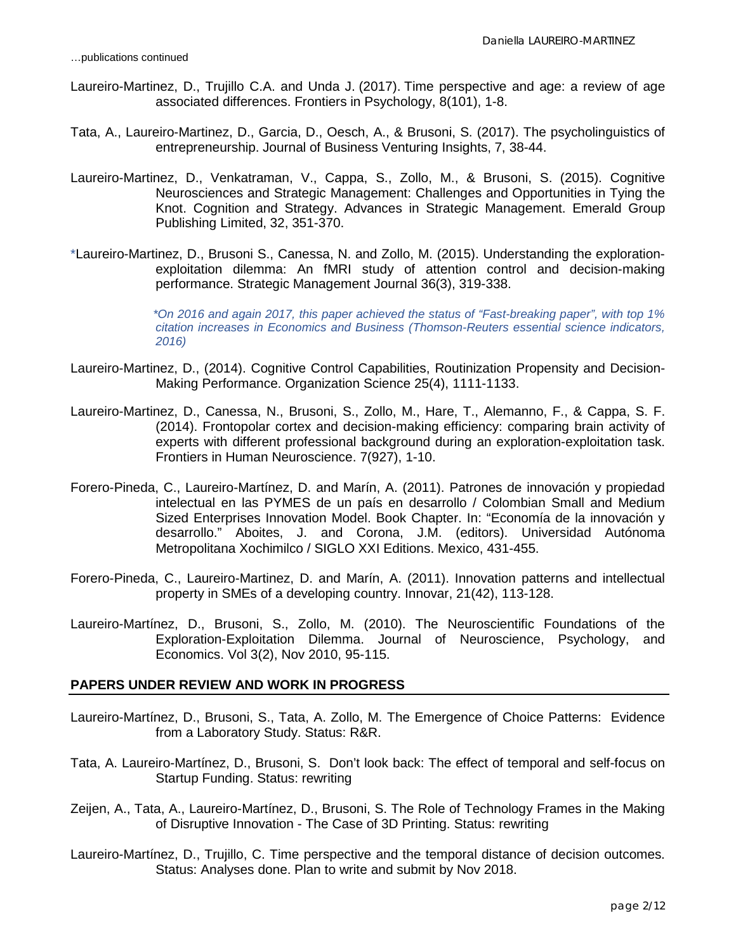- Laureiro-Martinez, D., Trujillo C.A. and Unda J. (2017). Time perspective and age: a review of age associated differences. Frontiers in Psychology, 8(101), 1-8.
- Tata, A., Laureiro-Martinez, D., Garcia, D., Oesch, A., & Brusoni, S. (2017). The psycholinguistics of entrepreneurship. Journal of Business Venturing Insights, 7, 38-44.
- Laureiro-Martinez, D., Venkatraman, V., Cappa, S., Zollo, M., & Brusoni, S. (2015). Cognitive Neurosciences and Strategic Management: Challenges and Opportunities in Tying the Knot. Cognition and Strategy. Advances in Strategic Management. Emerald Group Publishing Limited, 32, 351-370.
- \*Laureiro-Martinez, D., Brusoni S., Canessa, N. and Zollo, M. (2015). Understanding the explorationexploitation dilemma: An fMRI study of attention control and decision-making performance. Strategic Management Journal 36(3), 319-338.

*\*On 2016 and again 2017, this paper achieved the status of "Fast-breaking paper", with top 1% citation increases in Economics and Business (Thomson-Reuters essential science indicators, 2016)*

- Laureiro-Martinez, D., (2014). Cognitive Control Capabilities, Routinization Propensity and Decision-Making Performance. Organization Science 25(4), 1111-1133.
- Laureiro-Martinez, D., Canessa, N., Brusoni, S., Zollo, M., Hare, T., Alemanno, F., & Cappa, S. F. (2014). Frontopolar cortex and decision-making efficiency: comparing brain activity of experts with different professional background during an exploration-exploitation task. Frontiers in Human Neuroscience. 7(927), 1-10.
- Forero-Pineda, C., Laureiro-Martínez, D. and Marín, A. (2011). Patrones de innovación y propiedad intelectual en las PYMES de un país en desarrollo / Colombian Small and Medium Sized Enterprises Innovation Model. Book Chapter. In: "Economía de la innovación y desarrollo." Aboites, J. and Corona, J.M. (editors). Universidad Autónoma Metropolitana Xochimilco / SIGLO XXI Editions. Mexico, 431-455.
- Forero-Pineda, C., Laureiro-Martinez, D. and Marín, A. (2011). Innovation patterns and intellectual property in SMEs of a developing country. Innovar, 21(42), 113-128.
- Laureiro-Martínez, D., Brusoni, S., Zollo, M. (2010). The Neuroscientific Foundations of the Exploration-Exploitation Dilemma. Journal of Neuroscience, Psychology, and Economics. Vol 3(2), Nov 2010, 95-115.

#### **PAPERS UNDER REVIEW AND WORK IN PROGRESS**

- Laureiro-Martínez, D., Brusoni, S., Tata, A. Zollo, M. The Emergence of Choice Patterns: Evidence from a Laboratory Study. Status: R&R.
- Tata, A. Laureiro-Martínez, D., Brusoni, S. Don't look back: The effect of temporal and self-focus on Startup Funding. Status: rewriting
- Zeijen, A., Tata, A., Laureiro-Martínez, D., Brusoni, S. The Role of Technology Frames in the Making of Disruptive Innovation - The Case of 3D Printing. Status: rewriting
- Laureiro-Martínez, D., Trujillo, C. Time perspective and the temporal distance of decision outcomes. Status: Analyses done. Plan to write and submit by Nov 2018.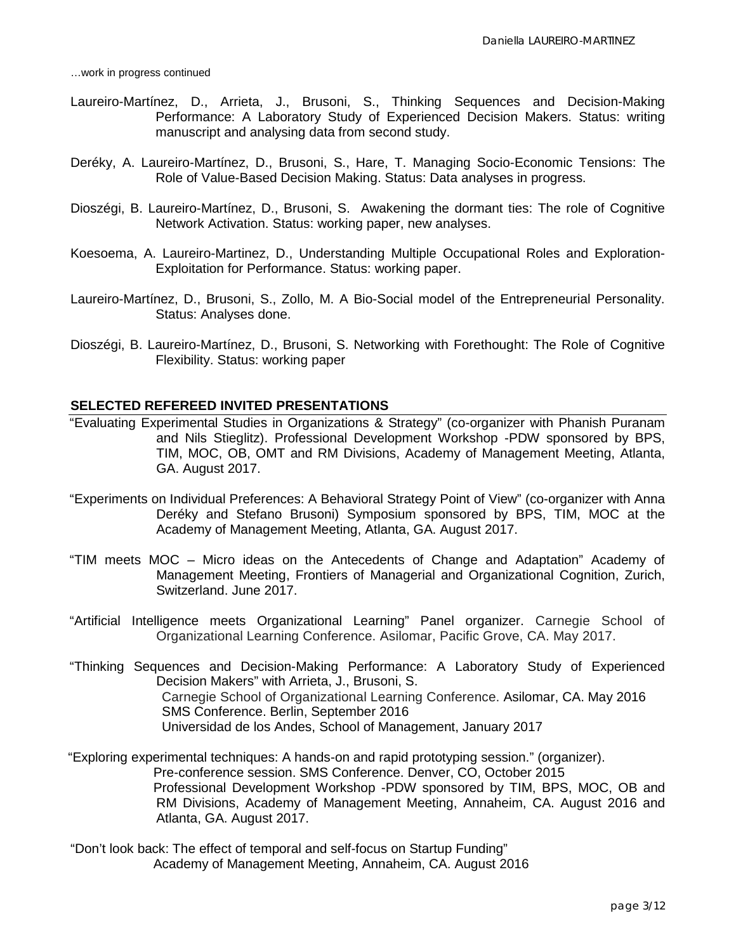…work in progress continued

- Laureiro-Martínez, D., Arrieta, J., Brusoni, S., Thinking Sequences and Decision-Making Performance: A Laboratory Study of Experienced Decision Makers. Status: writing manuscript and analysing data from second study.
- Deréky, A. Laureiro-Martínez, D., Brusoni, S., Hare, T. Managing Socio-Economic Tensions: The Role of Value-Based Decision Making. Status: Data analyses in progress.
- Dioszégi, B. Laureiro-Martínez, D., Brusoni, S. Awakening the dormant ties: The role of Cognitive Network Activation. Status: working paper, new analyses.
- Koesoema, A. Laureiro-Martinez, D., Understanding Multiple Occupational Roles and Exploration-Exploitation for Performance. Status: working paper.
- Laureiro-Martínez, D., Brusoni, S., Zollo, M. A Bio-Social model of the Entrepreneurial Personality. Status: Analyses done.
- Dioszégi, B. Laureiro-Martínez, D., Brusoni, S. Networking with Forethought: The Role of Cognitive Flexibility. Status: working paper

## **SELECTED REFEREED INVITED PRESENTATIONS**

- "Evaluating Experimental Studies in Organizations & Strategy" (co-organizer with Phanish Puranam and Nils Stieglitz). Professional Development Workshop -PDW sponsored by BPS, TIM, MOC, OB, OMT and RM Divisions, Academy of Management Meeting, Atlanta, GA. August 2017.
- "Experiments on Individual Preferences: A Behavioral Strategy Point of View" (co-organizer with Anna Deréky and Stefano Brusoni) Symposium sponsored by BPS, TIM, MOC at the Academy of Management Meeting, Atlanta, GA. August 2017.
- "TIM meets MOC Micro ideas on the Antecedents of Change and Adaptation" Academy of Management Meeting, Frontiers of Managerial and Organizational Cognition, Zurich, Switzerland. June 2017.
- "Artificial Intelligence meets Organizational Learning" Panel organizer. Carnegie School of Organizational Learning Conference. Asilomar, Pacific Grove, CA. May 2017.
- "Thinking Sequences and Decision-Making Performance: A Laboratory Study of Experienced Decision Makers" with Arrieta, J., Brusoni, S. Carnegie School of Organizational Learning Conference. Asilomar, CA. May 2016 SMS Conference. Berlin, September 2016 Universidad de los Andes, School of Management, January 2017
- "Exploring experimental techniques: A hands-on and rapid prototyping session." (organizer). Pre-conference session. SMS Conference. Denver, CO, October 2015 Professional Development Workshop -PDW sponsored by TIM, BPS, MOC, OB and RM Divisions, Academy of Management Meeting, Annaheim, CA. August 2016 and Atlanta, GA. August 2017.
- "Don't look back: The effect of temporal and self-focus on Startup Funding" Academy of Management Meeting, Annaheim, CA. August 2016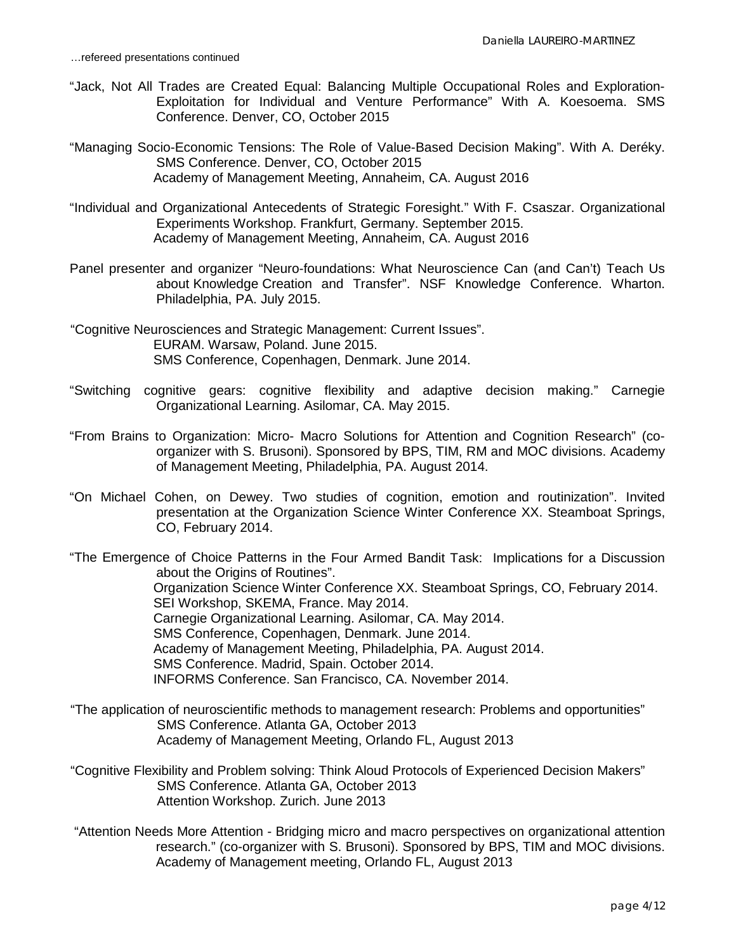- "Jack, Not All Trades are Created Equal: Balancing Multiple Occupational Roles and Exploration-Exploitation for Individual and Venture Performance" With A. Koesoema. SMS Conference. Denver, CO, October 2015
- "Managing Socio-Economic Tensions: The Role of Value-Based Decision Making". With A. Deréky. SMS Conference. Denver, CO, October 2015 Academy of Management Meeting, Annaheim, CA. August 2016
- "Individual and Organizational Antecedents of Strategic Foresight." With F. Csaszar. Organizational Experiments Workshop. Frankfurt, Germany. September 2015. Academy of Management Meeting, Annaheim, CA. August 2016
- Panel presenter and organizer "Neuro-foundations: What Neuroscience Can (and Can't) Teach Us about Knowledge Creation and Transfer". NSF Knowledge Conference. Wharton. Philadelphia, PA. July 2015.
- "Cognitive Neurosciences and Strategic Management: Current Issues". EURAM. Warsaw, Poland. June 2015. SMS Conference, Copenhagen, Denmark. June 2014.
- "Switching cognitive gears: cognitive flexibility and adaptive decision making." Carnegie Organizational Learning. Asilomar, CA. May 2015.
- "From Brains to Organization: Micro- Macro Solutions for Attention and Cognition Research" (coorganizer with S. Brusoni). Sponsored by BPS, TIM, RM and MOC divisions. Academy of Management Meeting, Philadelphia, PA. August 2014.
- "On Michael Cohen, on Dewey. Two studies of cognition, emotion and routinization". Invited presentation at the Organization Science Winter Conference XX. Steamboat Springs, CO, February 2014.

"The Emergence of Choice Patterns in the Four Armed Bandit Task: Implications for a Discussion about the Origins of Routines". Organization Science Winter Conference XX. Steamboat Springs, CO, February 2014. SEI Workshop, SKEMA, France. May 2014. Carnegie Organizational Learning. Asilomar, CA. May 2014. SMS Conference, Copenhagen, Denmark. June 2014. Academy of Management Meeting, Philadelphia, PA. August 2014. SMS Conference. Madrid, Spain. October 2014. INFORMS Conference. San Francisco, CA. November 2014.

"The application of neuroscientific methods to management research: Problems and opportunities" SMS Conference. Atlanta GA, October 2013 Academy of Management Meeting, Orlando FL, August 2013

- "Cognitive Flexibility and Problem solving: Think Aloud Protocols of Experienced Decision Makers" SMS Conference. Atlanta GA, October 2013 Attention Workshop. Zurich. June 2013
- "Attention Needs More Attention Bridging micro and macro perspectives on organizational attention research." (co-organizer with S. Brusoni). Sponsored by BPS, TIM and MOC divisions. Academy of Management meeting, Orlando FL, August 2013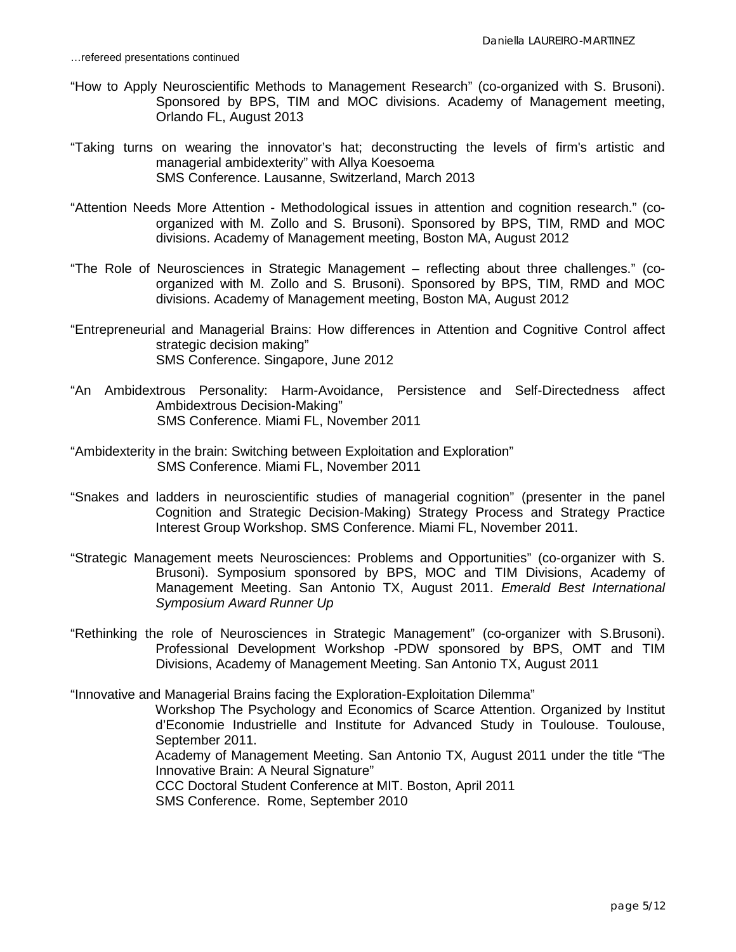- "How to Apply Neuroscientific Methods to Management Research" (co-organized with S. Brusoni). Sponsored by BPS, TIM and MOC divisions. Academy of Management meeting, Orlando FL, August 2013
- "Taking turns on wearing the innovator's hat; deconstructing the levels of firm's artistic and managerial ambidexterity" with Allya Koesoema SMS Conference. Lausanne, Switzerland, March 2013
- "Attention Needs More Attention Methodological issues in attention and cognition research." (coorganized with M. Zollo and S. Brusoni). Sponsored by BPS, TIM, RMD and MOC divisions. Academy of Management meeting, Boston MA, August 2012
- "The Role of Neurosciences in Strategic Management reflecting about three challenges." (coorganized with M. Zollo and S. Brusoni). Sponsored by BPS, TIM, RMD and MOC divisions. Academy of Management meeting, Boston MA, August 2012
- "Entrepreneurial and Managerial Brains: How differences in Attention and Cognitive Control affect strategic decision making" SMS Conference. Singapore, June 2012
- "An Ambidextrous Personality: Harm-Avoidance, Persistence and Self-Directedness affect Ambidextrous Decision-Making" SMS Conference. Miami FL, November 2011
- "Ambidexterity in the brain: Switching between Exploitation and Exploration" SMS Conference. Miami FL, November 2011
- "Snakes and ladders in neuroscientific studies of managerial cognition" (presenter in the panel Cognition and Strategic Decision-Making) Strategy Process and Strategy Practice Interest Group Workshop. SMS Conference. Miami FL, November 2011.
- "Strategic Management meets Neurosciences: Problems and Opportunities" (co-organizer with S. Brusoni). Symposium sponsored by BPS, MOC and TIM Divisions, Academy of Management Meeting. San Antonio TX, August 2011. *Emerald Best International Symposium Award Runner Up*
- "Rethinking the role of Neurosciences in Strategic Management" (co-organizer with S.Brusoni). Professional Development Workshop -PDW sponsored by BPS, OMT and TIM Divisions, Academy of Management Meeting. San Antonio TX, August 2011

"Innovative and Managerial Brains facing the Exploration-Exploitation Dilemma"

Workshop The Psychology and Economics of Scarce Attention. Organized by Institut d'Economie Industrielle and Institute for Advanced Study in Toulouse. Toulouse, September 2011.

Academy of Management Meeting. San Antonio TX, August 2011 under the title "The Innovative Brain: A Neural Signature"

CCC Doctoral Student Conference at MIT. Boston, April 2011

SMS Conference. Rome, September 2010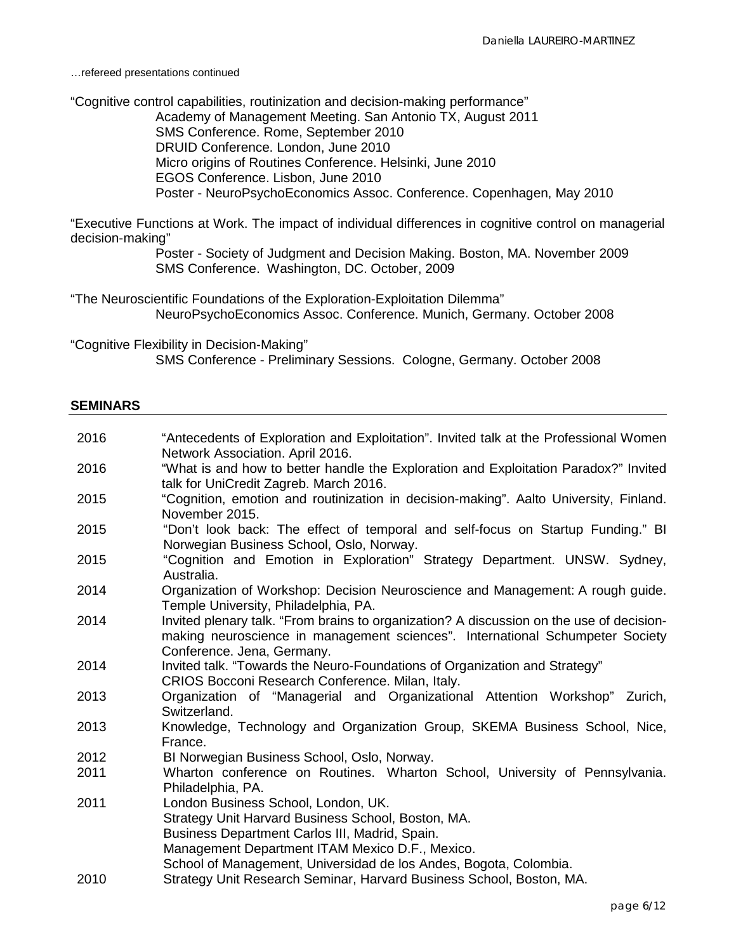…refereed presentations continued

"Cognitive control capabilities, routinization and decision-making performance" Academy of Management Meeting. San Antonio TX, August 2011 SMS Conference. Rome, September 2010 DRUID Conference. London, June 2010 Micro origins of Routines Conference. Helsinki, June 2010 EGOS Conference. Lisbon, June 2010 Poster - NeuroPsychoEconomics Assoc. Conference. Copenhagen, May 2010

"Executive Functions at Work. The impact of individual differences in cognitive control on managerial decision-making"

> Poster - Society of Judgment and Decision Making. Boston, MA. November 2009 SMS Conference. Washington, DC. October, 2009

"The Neuroscientific Foundations of the Exploration-Exploitation Dilemma" NeuroPsychoEconomics Assoc. Conference. Munich, Germany. October 2008

"Cognitive Flexibility in Decision-Making" SMS Conference - Preliminary Sessions. Cologne, Germany. October 2008

### **SEMINARS**

| 2016 | "Antecedents of Exploration and Exploitation". Invited talk at the Professional Women<br>Network Association. April 2016.                                                                                                                                           |
|------|---------------------------------------------------------------------------------------------------------------------------------------------------------------------------------------------------------------------------------------------------------------------|
| 2016 | "What is and how to better handle the Exploration and Exploitation Paradox?" Invited<br>talk for UniCredit Zagreb. March 2016.                                                                                                                                      |
| 2015 | "Cognition, emotion and routinization in decision-making". Aalto University, Finland.<br>November 2015.                                                                                                                                                             |
| 2015 | "Don't look back: The effect of temporal and self-focus on Startup Funding." BI<br>Norwegian Business School, Oslo, Norway.                                                                                                                                         |
| 2015 | "Cognition and Emotion in Exploration" Strategy Department. UNSW. Sydney,<br>Australia.                                                                                                                                                                             |
| 2014 | Organization of Workshop: Decision Neuroscience and Management: A rough guide.<br>Temple University, Philadelphia, PA.                                                                                                                                              |
| 2014 | Invited plenary talk. "From brains to organization? A discussion on the use of decision-<br>making neuroscience in management sciences". International Schumpeter Society<br>Conference. Jena, Germany.                                                             |
| 2014 | Invited talk. "Towards the Neuro-Foundations of Organization and Strategy"<br>CRIOS Bocconi Research Conference. Milan, Italy.                                                                                                                                      |
| 2013 | Organization of "Managerial and Organizational Attention Workshop" Zurich,<br>Switzerland.                                                                                                                                                                          |
| 2013 | Knowledge, Technology and Organization Group, SKEMA Business School, Nice,<br>France.                                                                                                                                                                               |
| 2012 | BI Norwegian Business School, Oslo, Norway.                                                                                                                                                                                                                         |
| 2011 | Wharton conference on Routines. Wharton School, University of Pennsylvania.<br>Philadelphia, PA.                                                                                                                                                                    |
| 2011 | London Business School, London, UK.<br>Strategy Unit Harvard Business School, Boston, MA.<br>Business Department Carlos III, Madrid, Spain.<br>Management Department ITAM Mexico D.F., Mexico.<br>School of Management, Universidad de los Andes, Bogota, Colombia. |
| 2010 | Strategy Unit Research Seminar, Harvard Business School, Boston, MA.                                                                                                                                                                                                |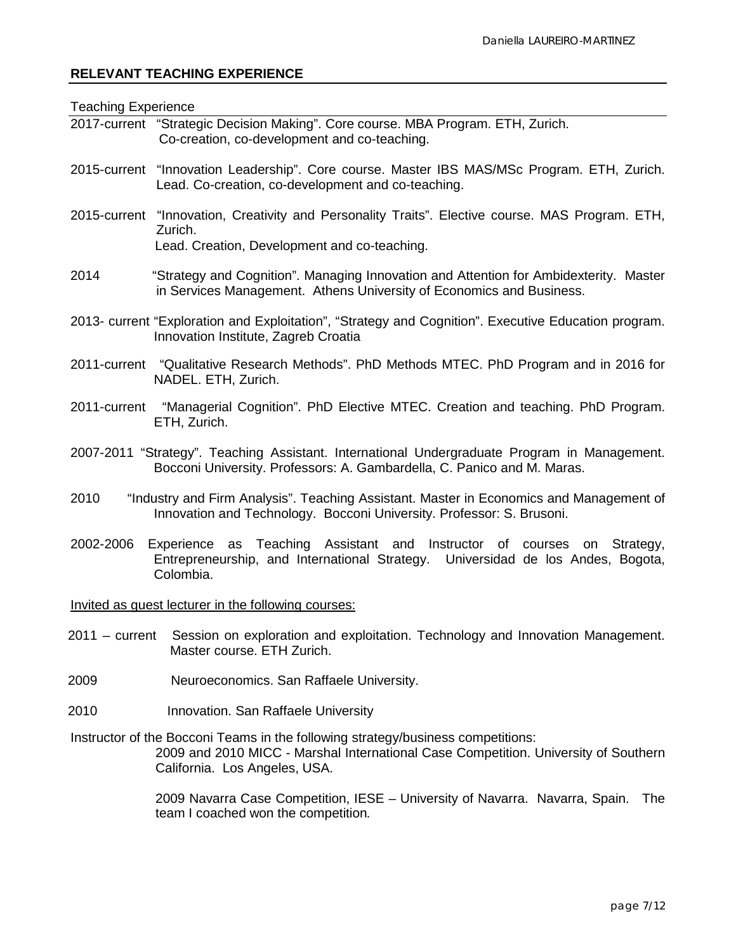# **RELEVANT TEACHING EXPERIENCE**

| <b>Teaching Experience</b> |                                                                                                                                                                                                          |
|----------------------------|----------------------------------------------------------------------------------------------------------------------------------------------------------------------------------------------------------|
|                            | 2017-current "Strategic Decision Making". Core course. MBA Program. ETH, Zurich.<br>Co-creation, co-development and co-teaching.                                                                         |
|                            | 2015-current "Innovation Leadership". Core course. Master IBS MAS/MSc Program. ETH, Zurich.<br>Lead. Co-creation, co-development and co-teaching.                                                        |
| Zurich.                    | 2015-current "Innovation, Creativity and Personality Traits". Elective course. MAS Program. ETH,<br>Lead. Creation, Development and co-teaching.                                                         |
| 2014                       | "Strategy and Cognition". Managing Innovation and Attention for Ambidexterity. Master<br>in Services Management. Athens University of Economics and Business.                                            |
|                            | 2013- current "Exploration and Exploitation", "Strategy and Cognition". Executive Education program.<br>Innovation Institute, Zagreb Croatia                                                             |
|                            | 2011-current "Qualitative Research Methods". PhD Methods MTEC. PhD Program and in 2016 for<br>NADEL. ETH, Zurich.                                                                                        |
|                            | 2011-current "Managerial Cognition". PhD Elective MTEC. Creation and teaching. PhD Program.<br>ETH, Zurich.                                                                                              |
|                            | 2007-2011 "Strategy". Teaching Assistant. International Undergraduate Program in Management.<br>Bocconi University. Professors: A. Gambardella, C. Panico and M. Maras.                                  |
| 2010                       | "Industry and Firm Analysis". Teaching Assistant. Master in Economics and Management of<br>Innovation and Technology. Bocconi University. Professor: S. Brusoni.                                         |
| 2002-2006                  | Experience as Teaching Assistant and Instructor of courses<br>on Strategy,<br>Entrepreneurship, and International Strategy. Universidad de los Andes, Bogota,<br>Colombia.                               |
|                            | Invited as guest lecturer in the following courses:                                                                                                                                                      |
| $2011 - current$           | Session on exploration and exploitation. Technology and Innovation Management.<br>Master course. ETH Zurich.                                                                                             |
| 2009                       | Neuroeconomics. San Raffaele University.                                                                                                                                                                 |
| 2010                       | Innovation. San Raffaele University                                                                                                                                                                      |
|                            | Instructor of the Bocconi Teams in the following strategy/business competitions:<br>2009 and 2010 MICC - Marshal International Case Competition. University of Southern<br>California. Los Angeles, USA. |
|                            | 2009 Navarra Case Competition, IESE - University of Navarra. Navarra, Spain.<br>The                                                                                                                      |

team I coached won the competition*.*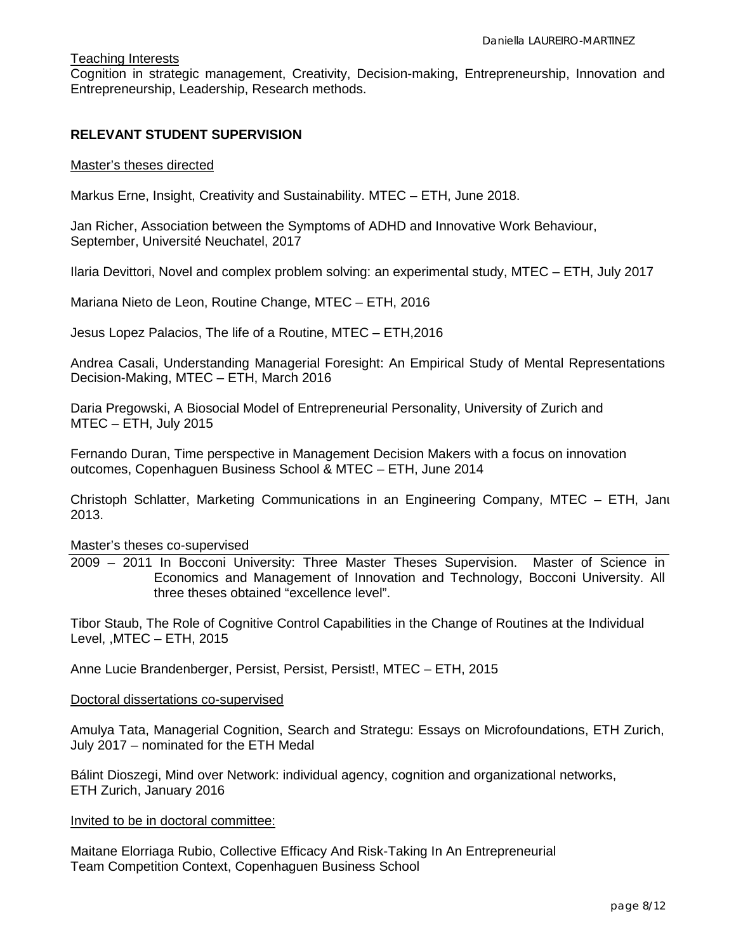# Teaching Interests

Cognition in strategic management, Creativity, Decision-making, Entrepreneurship, Innovation and Entrepreneurship, Leadership, Research methods.

# **RELEVANT STUDENT SUPERVISION**

#### Master's theses directed

Markus Erne, Insight, Creativity and Sustainability. MTEC – ETH, June 2018.

Jan Richer, Association between the Symptoms of ADHD and Innovative Work Behaviour, September, Université Neuchatel, 2017

Ilaria Devittori, Novel and complex problem solving: an experimental study, MTEC – ETH, July 2017

Mariana Nieto de Leon, Routine Change, MTEC – ETH, 2016

Jesus Lopez Palacios, The life of a Routine, MTEC – ETH,2016

Andrea Casali, Understanding Managerial Foresight: An Empirical Study of Mental Representations Decision-Making, MTEC – ETH, March 2016

Daria Pregowski, A Biosocial Model of Entrepreneurial Personality, University of Zurich and MTEC – ETH, July 2015

Fernando Duran, Time perspective in Management Decision Makers with a focus on innovation outcomes, Copenhaguen Business School & MTEC – ETH, June 2014

Christoph Schlatter, Marketing Communications in an Engineering Company, MTEC – ETH, Janu 2013.

#### Master's theses co-supervised

2009 – 2011 In Bocconi University: Three Master Theses Supervision. Master of Science in Economics and Management of Innovation and Technology, Bocconi University. All three theses obtained "excellence level".

Tibor Staub, The Role of Cognitive Control Capabilities in the Change of Routines at the Individual Level, ,MTEC – ETH, 2015

Anne Lucie Brandenberger, Persist, Persist, Persist!, MTEC – ETH, 2015

## Doctoral dissertations co-supervised

Amulya Tata, Managerial Cognition, Search and Strategu: Essays on Microfoundations, ETH Zurich, July 2017 – nominated for the ETH Medal

Bálint Dioszegi, Mind over Network: individual agency, cognition and organizational networks, ETH Zurich, January 2016

#### Invited to be in doctoral committee:

Maitane Elorriaga Rubio, Collective Efficacy And Risk-Taking In An Entrepreneurial Team Competition Context, Copenhaguen Business School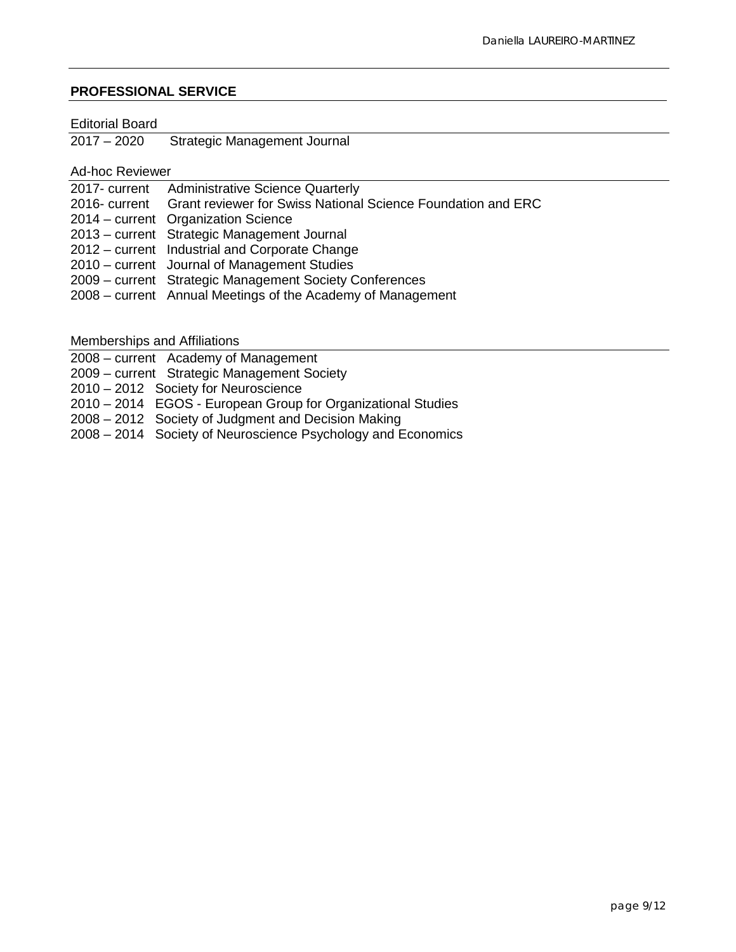# **PROFESSIONAL SERVICE**

#### Editorial Board

2017 – 2020 Strategic Management Journal

Ad-hoc Reviewer

| 2017- current Administrative Science Quarterly                             |
|----------------------------------------------------------------------------|
| 2016- current Grant reviewer for Swiss National Science Foundation and ERC |
| 2014 – current Organization Science                                        |
| 2013 – current Strategic Management Journal                                |
| 2012 – current Industrial and Corporate Change                             |
| 2010 – current Journal of Management Studies                               |
| 2009 – current Strategic Management Society Conferences                    |
| 2008 – current Annual Meetings of the Academy of Management                |
|                                                                            |

Memberships and Affiliations

2008 – current Academy of Management

2009 – current Strategic Management Society

2010 – 2012 Society for Neuroscience

2010 – 2014 EGOS - European Group for Organizational Studies

2008 – 2012 Society of Judgment and Decision Making

2008 – 2014 Society of Neuroscience Psychology and Economics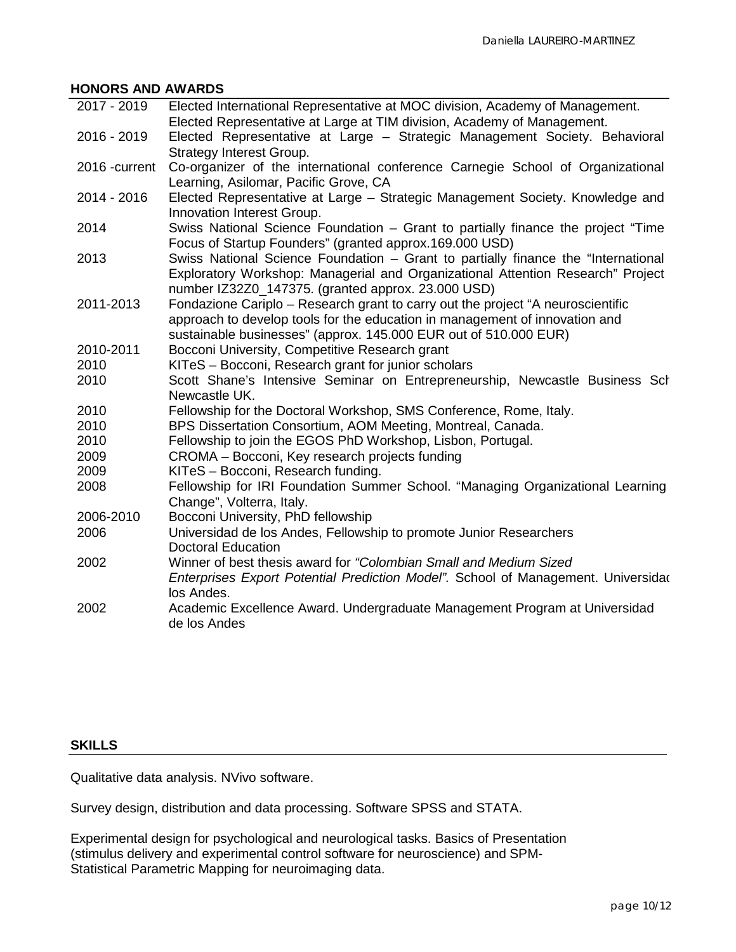# **HONORS AND AWARDS**

| 2017 - 2019   | Elected International Representative at MOC division, Academy of Management.<br>Elected Representative at Large at TIM division, Academy of Management.                                                                            |
|---------------|------------------------------------------------------------------------------------------------------------------------------------------------------------------------------------------------------------------------------------|
| 2016 - 2019   | Elected Representative at Large - Strategic Management Society. Behavioral                                                                                                                                                         |
|               | <b>Strategy Interest Group.</b>                                                                                                                                                                                                    |
| 2016 -current | Co-organizer of the international conference Carnegie School of Organizational<br>Learning, Asilomar, Pacific Grove, CA                                                                                                            |
| 2014 - 2016   | Elected Representative at Large - Strategic Management Society. Knowledge and<br>Innovation Interest Group.                                                                                                                        |
| 2014          | Swiss National Science Foundation - Grant to partially finance the project "Time<br>Focus of Startup Founders" (granted approx.169.000 USD)                                                                                        |
| 2013          | Swiss National Science Foundation - Grant to partially finance the "International<br>Exploratory Workshop: Managerial and Organizational Attention Research" Project<br>number IZ32Z0_147375. (granted approx. 23.000 USD)         |
| 2011-2013     | Fondazione Cariplo - Research grant to carry out the project "A neuroscientific<br>approach to develop tools for the education in management of innovation and<br>sustainable businesses" (approx. 145.000 EUR out of 510.000 EUR) |
| 2010-2011     | Bocconi University, Competitive Research grant                                                                                                                                                                                     |
| 2010          | KITeS - Bocconi, Research grant for junior scholars                                                                                                                                                                                |
| 2010          | Scott Shane's Intensive Seminar on Entrepreneurship, Newcastle Business Sch                                                                                                                                                        |
|               | Newcastle UK.                                                                                                                                                                                                                      |
| 2010          | Fellowship for the Doctoral Workshop, SMS Conference, Rome, Italy.                                                                                                                                                                 |
| 2010          | BPS Dissertation Consortium, AOM Meeting, Montreal, Canada.                                                                                                                                                                        |
| 2010          | Fellowship to join the EGOS PhD Workshop, Lisbon, Portugal.                                                                                                                                                                        |
| 2009          | CROMA - Bocconi, Key research projects funding                                                                                                                                                                                     |
| 2009          | KITeS - Bocconi, Research funding.                                                                                                                                                                                                 |
| 2008          | Fellowship for IRI Foundation Summer School. "Managing Organizational Learning<br>Change", Volterra, Italy.                                                                                                                        |
| 2006-2010     | Bocconi University, PhD fellowship                                                                                                                                                                                                 |
| 2006          | Universidad de los Andes, Fellowship to promote Junior Researchers<br><b>Doctoral Education</b>                                                                                                                                    |
| 2002          | Winner of best thesis award for "Colombian Small and Medium Sized<br>Enterprises Export Potential Prediction Model". School of Management. Universidad<br>los Andes.                                                               |
| 2002          | Academic Excellence Award. Undergraduate Management Program at Universidad<br>de los Andes                                                                                                                                         |

# **SKILLS**

Qualitative data analysis. NVivo software.

Survey design, distribution and data processing. Software SPSS and STATA.

Experimental design for psychological and neurological tasks. Basics of Presentation (stimulus delivery and experimental control software for neuroscience) and SPM-Statistical Parametric Mapping for neuroimaging data.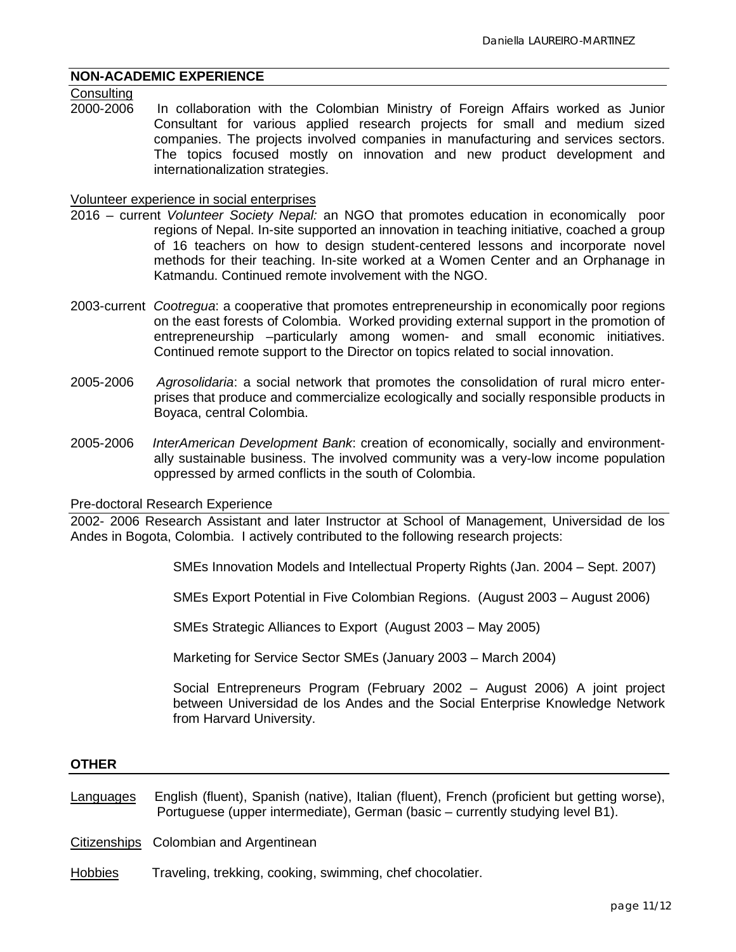# **NON-ACADEMIC EXPERIENCE**

# Consulting<br>2000-2006

In collaboration with the Colombian Ministry of Foreign Affairs worked as Junior Consultant for various applied research projects for small and medium sized companies. The projects involved companies in manufacturing and services sectors. The topics focused mostly on innovation and new product development and internationalization strategies.

### Volunteer experience in social enterprises

- 2016 current *Volunteer Society Nepal:* an NGO that promotes education in economically poor regions of Nepal. In-site supported an innovation in teaching initiative, coached a group of 16 teachers on how to design student-centered lessons and incorporate novel methods for their teaching. In-site worked at a Women Center and an Orphanage in Katmandu. Continued remote involvement with the NGO.
- 2003-current *Cootregua*: a cooperative that promotes entrepreneurship in economically poor regions on the east forests of Colombia. Worked providing external support in the promotion of entrepreneurship –particularly among women- and small economic initiatives. Continued remote support to the Director on topics related to social innovation.
- 2005-2006 *Agrosolidaria*: a social network that promotes the consolidation of rural micro enterprises that produce and commercialize ecologically and socially responsible products in Boyaca, central Colombia.
- 2005-2006 *InterAmerican Development Bank*: creation of economically, socially and environmentally sustainable business. The involved community was a very-low income population oppressed by armed conflicts in the south of Colombia.

#### Pre-doctoral Research Experience

2002- 2006 Research Assistant and later Instructor at School of Management, Universidad de los Andes in Bogota, Colombia. I actively contributed to the following research projects:

SMEs Innovation Models and Intellectual Property Rights (Jan. 2004 – Sept. 2007)

SMEs Export Potential in Five Colombian Regions. (August 2003 – August 2006)

SMEs Strategic Alliances to Export (August 2003 – May 2005)

Marketing for Service Sector SMEs (January 2003 – March 2004)

Social Entrepreneurs Program (February 2002 – August 2006) A joint project between Universidad de los Andes and the Social Enterprise Knowledge Network from Harvard University.

### **OTHER**

Languages English (fluent), Spanish (native), Italian (fluent), French (proficient but getting worse), Portuguese (upper intermediate), German (basic – currently studying level B1).

Citizenships Colombian and Argentinean

Hobbies Traveling, trekking, cooking, swimming, chef chocolatier.